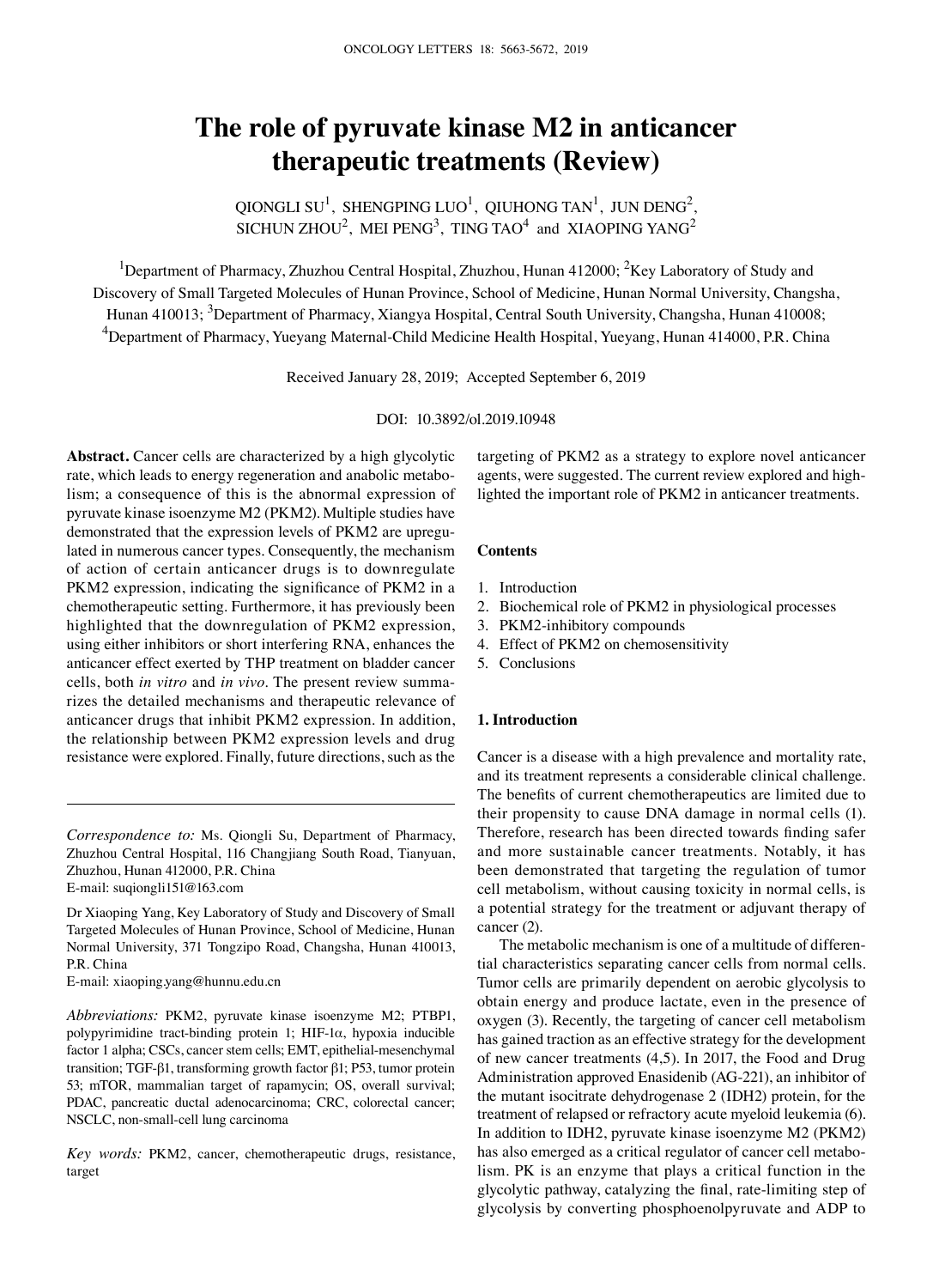# **The role of pyruvate kinase M2 in anticancer therapeutic treatments (Review)**

QIONGLI SU<sup>1</sup>, SHENGPING LUO<sup>1</sup>, QIUHONG TAN<sup>1</sup>, JUN DENG<sup>2</sup>, SICHUN ZHOU $^2$ , MEI PENG $^3$ , TING TAO $^4$  and XIAOPING YANG $^2$ 

<sup>1</sup>Department of Pharmacy, Zhuzhou Central Hospital, Zhuzhou, Hunan 412000; <sup>2</sup>Key Laboratory of Study and Discovery of Small Targeted Molecules of Hunan Province, School of Medicine, Hunan Normal University, Changsha, Hunan 410013; <sup>3</sup>Department of Pharmacy, Xiangya Hospital, Central South University, Changsha, Hunan 410008; <sup>4</sup>Department of Pharmacy, Yueyang Maternal-Child Medicine Health Hospital, Yueyang, Hunan 414000, P.R. China

Received January 28, 2019; Accepted September 6, 2019

DOI: 10.3892/ol.2019.10948

**Abstract.** Cancer cells are characterized by a high glycolytic rate, which leads to energy regeneration and anabolic metabolism; a consequence of this is the abnormal expression of pyruvate kinase isoenzyme M2 (PKM2). Multiple studies have demonstrated that the expression levels of PKM2 are upregulated in numerous cancer types. Consequently, the mechanism of action of certain anticancer drugs is to downregulate PKM2 expression, indicating the significance of PKM2 in a chemotherapeutic setting. Furthermore, it has previously been highlighted that the downregulation of PKM2 expression, using either inhibitors or short interfering RNA, enhances the anticancer effect exerted by THP treatment on bladder cancer cells, both *in vitro* and *in vivo*. The present review summarizes the detailed mechanisms and therapeutic relevance of anticancer drugs that inhibit PKM2 expression. In addition, the relationship between PKM2 expression levels and drug resistance were explored. Finally, future directions, such as the

*Correspondence to:* Ms. Qiongli Su, Department of Pharmacy, Zhuzhou Central Hospital, 116 Changjiang South Road, Tianyuan, Zhuzhou, Hunan 412000, P.R. China E-mail: suqiongli151@163.com

Dr Xiaoping Yang, Key Laboratory of Study and Discovery of Small Targeted Molecules of Hunan Province, School of Medicine, Hunan Normal University, 371 Tongzipo Road, Changsha, Hunan 410013, P.R. China

E-mail: xiaoping.yang@hunnu.edu.cn

*Abbreviations:* PKM2, pyruvate kinase isoenzyme M2; PTBP1, polypyrimidine tract-binding protein 1; HIF-1α, hypoxia inducible factor 1 alpha; CSCs, cancer stem cells; EMT, epithelial-mesenchymal transition; TGF-β1, transforming growth factor β1; P53, tumor protein 53; mTOR, mammalian target of rapamycin; OS, overall survival; PDAC, pancreatic ductal adenocarcinoma; CRC, colorectal cancer; NSCLC, non-small-cell lung carcinoma

*Key words:* PKM2, cancer, chemotherapeutic drugs, resistance, target

targeting of PKM2 as a strategy to explore novel anticancer agents, were suggested. The current review explored and highlighted the important role of PKM2 in anticancer treatments.

#### **Contents**

- 1. Introduction
- 2. Biochemical role of PKM2 in physiological processes
- 3. PKM2-inhibitory compounds
- 4. Effect of PKM2 on chemosensitivity
- 5. Conclusions

### **1. Introduction**

Cancer is a disease with a high prevalence and mortality rate, and its treatment represents a considerable clinical challenge. The benefits of current chemotherapeutics are limited due to their propensity to cause DNA damage in normal cells (1). Therefore, research has been directed towards finding safer and more sustainable cancer treatments. Notably, it has been demonstrated that targeting the regulation of tumor cell metabolism, without causing toxicity in normal cells, is a potential strategy for the treatment or adjuvant therapy of cancer (2).

The metabolic mechanism is one of a multitude of differential characteristics separating cancer cells from normal cells. Tumor cells are primarily dependent on aerobic glycolysis to obtain energy and produce lactate, even in the presence of oxygen (3). Recently, the targeting of cancer cell metabolism has gained traction as an effective strategy for the development of new cancer treatments (4,5). In 2017, the Food and Drug Administration approved Enasidenib (AG-221), an inhibitor of the mutant isocitrate dehydrogenase 2 (IDH2) protein, for the treatment of relapsed or refractory acute myeloid leukemia (6). In addition to IDH2, pyruvate kinase isoenzyme M2 (PKM2) has also emerged as a critical regulator of cancer cell metabolism. PK is an enzyme that plays a critical function in the glycolytic pathway, catalyzing the final, rate‑limiting step of glycolysis by converting phosphoenolpyruvate and ADP to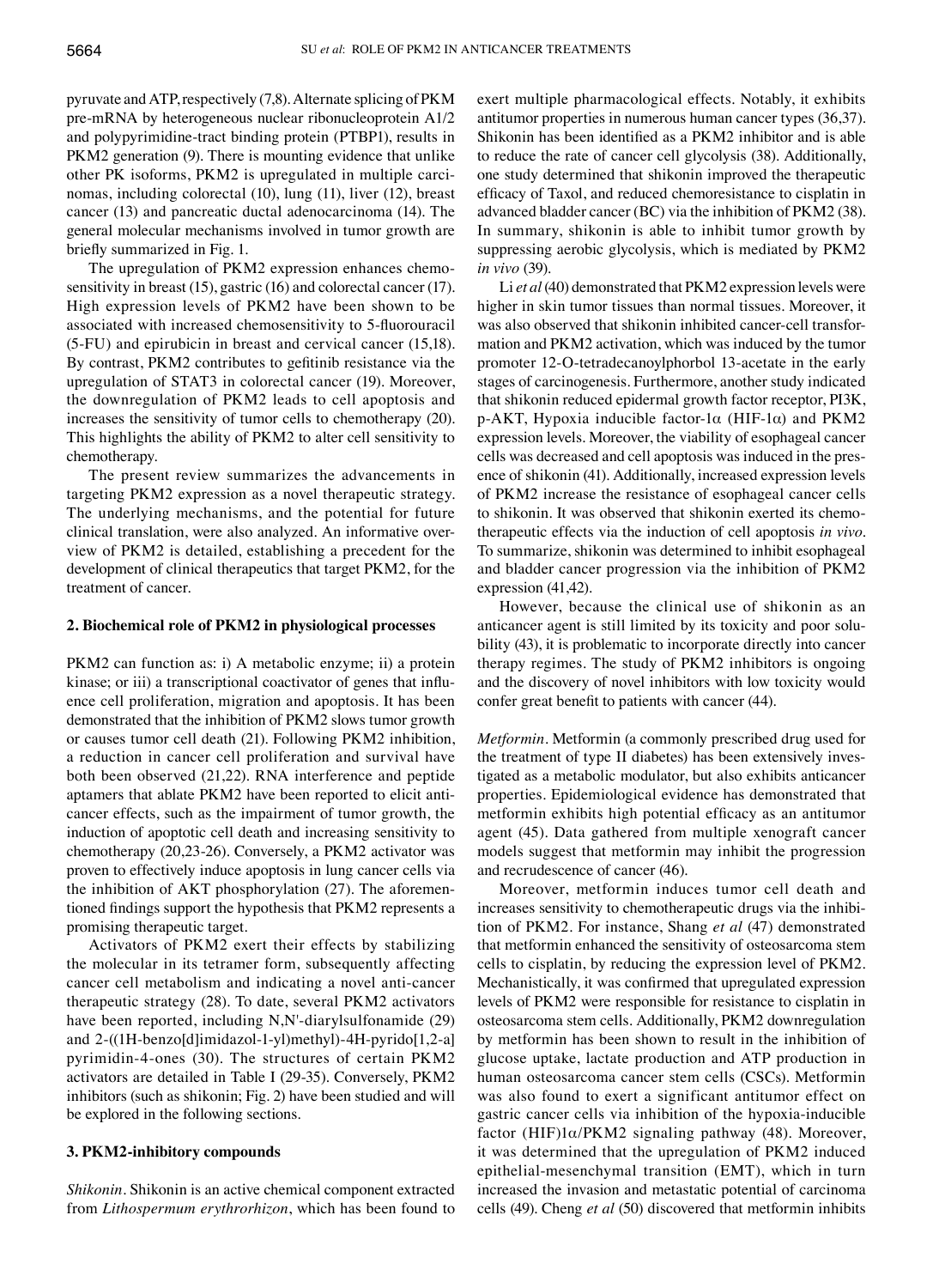pyruvate and ATP, respectively (7,8). Alternate splicing of PKM pre-mRNA by heterogeneous nuclear ribonucleoprotein A1/2 and polypyrimidine-tract binding protein (PTBP1), results in PKM2 generation (9). There is mounting evidence that unlike other PK isoforms, PKM2 is upregulated in multiple carcinomas, including colorectal (10), lung (11), liver (12), breast cancer (13) and pancreatic ductal adenocarcinoma (14). The general molecular mechanisms involved in tumor growth are briefly summarized in Fig. 1.

The upregulation of PKM2 expression enhances chemosensitivity in breast (15), gastric (16) and colorectal cancer (17). High expression levels of PKM2 have been shown to be associated with increased chemosensitivity to 5‑fluorouracil (5-FU) and epirubicin in breast and cervical cancer (15,18). By contrast, PKM2 contributes to gefitinib resistance via the upregulation of STAT3 in colorectal cancer (19). Moreover, the downregulation of PKM2 leads to cell apoptosis and increases the sensitivity of tumor cells to chemotherapy (20). This highlights the ability of PKM2 to alter cell sensitivity to chemotherapy.

The present review summarizes the advancements in targeting PKM2 expression as a novel therapeutic strategy. The underlying mechanisms, and the potential for future clinical translation, were also analyzed. An informative overview of PKM2 is detailed, establishing a precedent for the development of clinical therapeutics that target PKM2, for the treatment of cancer.

#### **2. Biochemical role of PKM2 in physiological processes**

PKM2 can function as: i) A metabolic enzyme; ii) a protein kinase; or iii) a transcriptional coactivator of genes that influence cell proliferation, migration and apoptosis. It has been demonstrated that the inhibition of PKM2 slows tumor growth or causes tumor cell death (21). Following PKM2 inhibition, a reduction in cancer cell proliferation and survival have both been observed (21,22). RNA interference and peptide aptamers that ablate PKM2 have been reported to elicit anticancer effects, such as the impairment of tumor growth, the induction of apoptotic cell death and increasing sensitivity to chemotherapy (20,23-26). Conversely, a PKM2 activator was proven to effectively induce apoptosis in lung cancer cells via the inhibition of AKT phosphorylation (27). The aforementioned findings support the hypothesis that PKM2 represents a promising therapeutic target.

Activators of PKM2 exert their effects by stabilizing the molecular in its tetramer form, subsequently affecting cancer cell metabolism and indicating a novel anti-cancer therapeutic strategy (28). To date, several PKM2 activators have been reported, including N,N'-diarylsulfonamide (29) and 2-((1H-benzo[d]imidazol-1-yl)methyl)-4H-pyrido[1,2-a] pyrimidin-4-ones (30). The structures of certain PKM2 activators are detailed in Table I (29-35). Conversely, PKM2 inhibitors (such as shikonin; Fig. 2) have been studied and will be explored in the following sections.

#### **3. PKM2‑inhibitory compounds**

*Shikonin.* Shikonin is an active chemical component extracted from *Lithospermum erythrorhizon*, which has been found to

exert multiple pharmacological effects. Notably, it exhibits antitumor properties in numerous human cancer types (36,37). Shikonin has been identified as a PKM2 inhibitor and is able to reduce the rate of cancer cell glycolysis (38). Additionally, one study determined that shikonin improved the therapeutic efficacy of Taxol, and reduced chemoresistance to cisplatin in advanced bladder cancer (BC) via the inhibition of PKM2 (38). In summary, shikonin is able to inhibit tumor growth by suppressing aerobic glycolysis, which is mediated by PKM2 *in vivo* (39).

Li *et al*(40) demonstrated that PKM2 expression levels were higher in skin tumor tissues than normal tissues. Moreover, it was also observed that shikonin inhibited cancer-cell transformation and PKM2 activation, which was induced by the tumor promoter 12-O-tetradecanoylphorbol 13-acetate in the early stages of carcinogenesis. Furthermore, another study indicated that shikonin reduced epidermal growth factor receptor, PI3K, p-AKT, Hypoxia inducible factor-1 $\alpha$  (HIF-1 $\alpha$ ) and PKM2 expression levels. Moreover, the viability of esophageal cancer cells was decreased and cell apoptosis was induced in the presence of shikonin (41). Additionally, increased expression levels of PKM2 increase the resistance of esophageal cancer cells to shikonin. It was observed that shikonin exerted its chemotherapeutic effects via the induction of cell apoptosis *in vivo*. To summarize, shikonin was determined to inhibit esophageal and bladder cancer progression via the inhibition of PKM2 expression (41,42).

However, because the clinical use of shikonin as an anticancer agent is still limited by its toxicity and poor solubility (43), it is problematic to incorporate directly into cancer therapy regimes. The study of PKM2 inhibitors is ongoing and the discovery of novel inhibitors with low toxicity would confer great benefit to patients with cancer (44).

*Metformin.* Metformin (a commonly prescribed drug used for the treatment of type II diabetes) has been extensively investigated as a metabolic modulator, but also exhibits anticancer properties. Epidemiological evidence has demonstrated that metformin exhibits high potential efficacy as an antitumor agent (45). Data gathered from multiple xenograft cancer models suggest that metformin may inhibit the progression and recrudescence of cancer (46).

Moreover, metformin induces tumor cell death and increases sensitivity to chemotherapeutic drugs via the inhibition of PKM2. For instance, Shang *et al* (47) demonstrated that metformin enhanced the sensitivity of osteosarcoma stem cells to cisplatin, by reducing the expression level of PKM2. Mechanistically, it was confirmed that upregulated expression levels of PKM2 were responsible for resistance to cisplatin in osteosarcoma stem cells. Additionally, PKM2 downregulation by metformin has been shown to result in the inhibition of glucose uptake, lactate production and ATP production in human osteosarcoma cancer stem cells (CSCs). Metformin was also found to exert a significant antitumor effect on gastric cancer cells via inhibition of the hypoxia-inducible factor (HIF)1α/PKM2 signaling pathway (48). Moreover, it was determined that the upregulation of PKM2 induced epithelial-mesenchymal transition (EMT), which in turn increased the invasion and metastatic potential of carcinoma cells (49). Cheng *et al* (50) discovered that metformin inhibits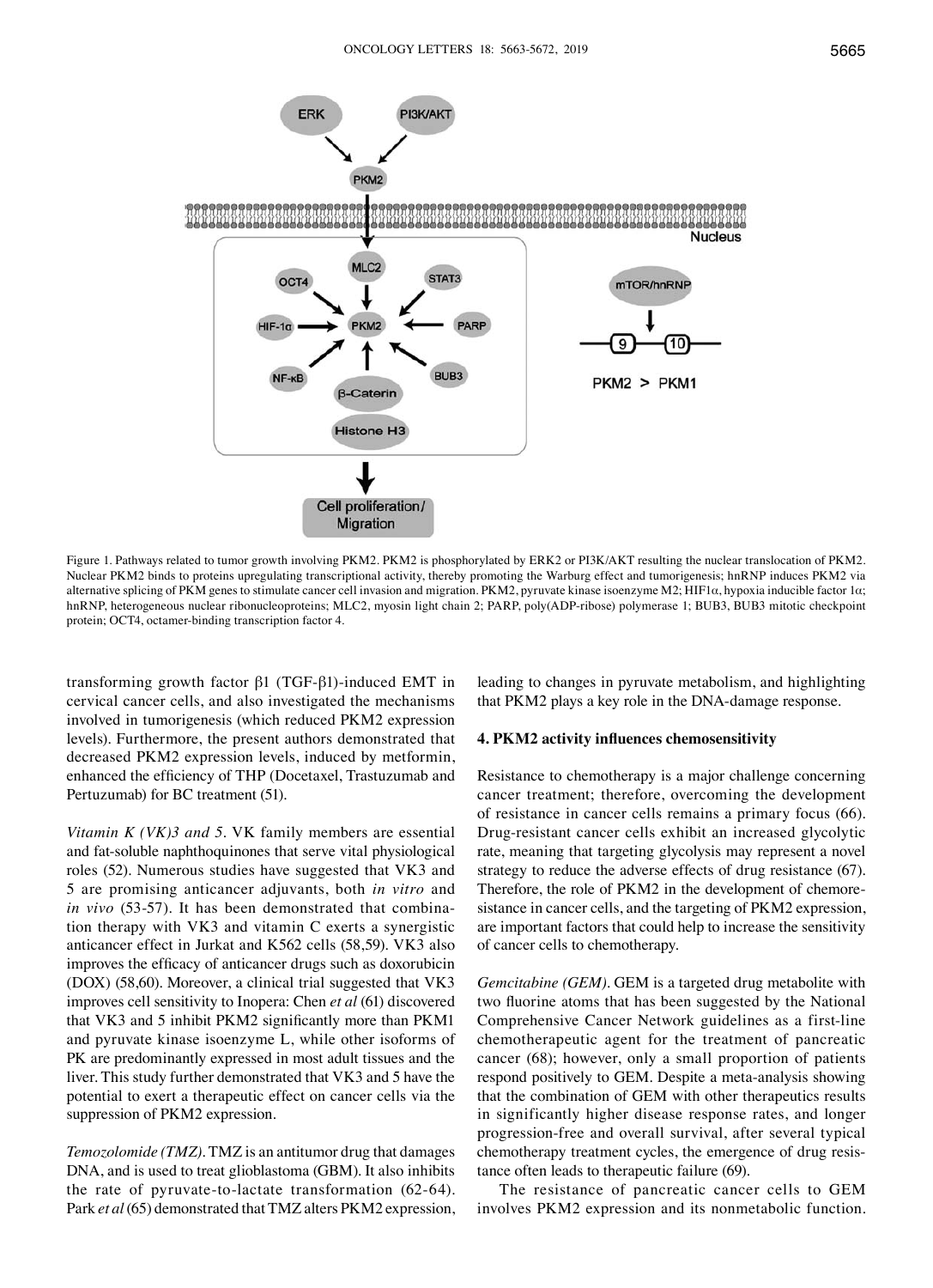

Figure 1. Pathways related to tumor growth involving PKM2. PKM2 is phosphorylated by ERK2 or PI3K/AKT resulting the nuclear translocation of PKM2. Nuclear PKM2 binds to proteins upregulating transcriptional activity, thereby promoting the Warburg effect and tumorigenesis; hnRNP induces PKM2 via alternative splicing of PKM genes to stimulate cancer cell invasion and migration. PKM2, pyruvate kinase isoenzyme M2; HIF1α, hypoxia inducible factor 1α; hnRNP, heterogeneous nuclear ribonucleoproteins; MLC2, myosin light chain 2; PARP, poly(ADP-ribose) polymerase 1; BUB3, BUB3 mitotic checkpoint protein; OCT4, octamer-binding transcription factor 4.

transforming growth factor β1 (TGF-β1)-induced EMT in cervical cancer cells, and also investigated the mechanisms involved in tumorigenesis (which reduced PKM2 expression levels). Furthermore, the present authors demonstrated that decreased PKM2 expression levels, induced by metformin, enhanced the efficiency of THP (Docetaxel, Trastuzumab and Pertuzumab) for BC treatment (51).

*Vitamin K (VK)3 and 5.* VK family members are essential and fat-soluble naphthoquinones that serve vital physiological roles (52). Numerous studies have suggested that VK3 and 5 are promising anticancer adjuvants, both *in vitro* and *in vivo* (53-57). It has been demonstrated that combination therapy with VK3 and vitamin C exerts a synergistic anticancer effect in Jurkat and K562 cells (58,59). VK3 also improves the efficacy of anticancer drugs such as doxorubicin (DOX) (58,60). Moreover, a clinical trial suggested that VK3 improves cell sensitivity to Inopera: Chen *et al* (61) discovered that VK3 and 5 inhibit PKM2 significantly more than PKM1 and pyruvate kinase isoenzyme L, while other isoforms of PK are predominantly expressed in most adult tissues and the liver. This study further demonstrated that VK3 and 5 have the potential to exert a therapeutic effect on cancer cells via the suppression of PKM2 expression.

*Temozolomide (TMZ).* TMZ is an antitumor drug that damages DNA, and is used to treat glioblastoma (GBM). It also inhibits the rate of pyruvate-to-lactate transformation (62-64). Park *et al*(65) demonstrated that TMZ alters PKM2 expression, leading to changes in pyruvate metabolism, and highlighting that PKM2 plays a key role in the DNA-damage response.

#### **4. PKM2 activity influences chemosensitivity**

Resistance to chemotherapy is a major challenge concerning cancer treatment; therefore, overcoming the development of resistance in cancer cells remains a primary focus (66). Drug-resistant cancer cells exhibit an increased glycolytic rate, meaning that targeting glycolysis may represent a novel strategy to reduce the adverse effects of drug resistance (67). Therefore, the role of PKM2 in the development of chemoresistance in cancer cells, and the targeting of PKM2 expression, are important factors that could help to increase the sensitivity of cancer cells to chemotherapy.

*Gemcitabine (GEM).* GEM is a targeted drug metabolite with two fluorine atoms that has been suggested by the National Comprehensive Cancer Network guidelines as a first-line chemotherapeutic agent for the treatment of pancreatic cancer (68); however, only a small proportion of patients respond positively to GEM. Despite a meta-analysis showing that the combination of GEM with other therapeutics results in significantly higher disease response rates, and longer progression-free and overall survival, after several typical chemotherapy treatment cycles, the emergence of drug resistance often leads to therapeutic failure (69).

The resistance of pancreatic cancer cells to GEM involves PKM2 expression and its nonmetabolic function.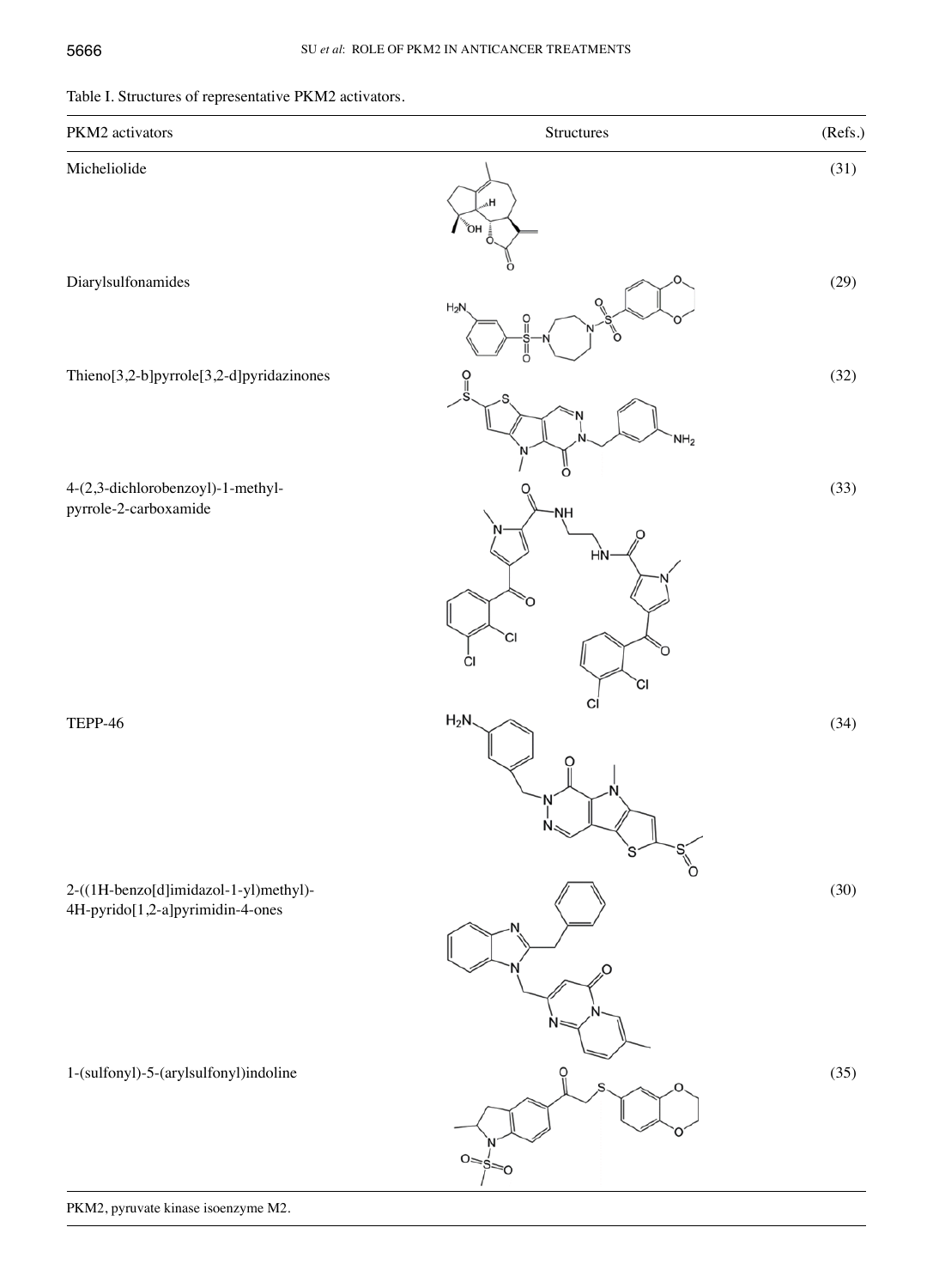# Table I. Structures of representative PKM2 activators.

| PKM2 activators                                                           | Structures                                  | (Refs.) |
|---------------------------------------------------------------------------|---------------------------------------------|---------|
| Micheliolide                                                              | H,<br>Ϋ́ОН                                  | (31)    |
| Diarylsulfonamides                                                        | Ω<br>$H_2N$<br>O                            | (29)    |
| Thieno[3,2-b]pyrrole[3,2-d]pyridazinones                                  | ∩<br>ူ<br>NH <sub>2</sub>                   | (32)    |
| 4-(2,3-dichlorobenzoyl)-1-methyl-<br>pyrrole-2-carboxamide                | O<br>'NH<br>HŅ<br>O<br>СI<br>Ő<br>СI<br>`Cl | (33)    |
| TEPP-46                                                                   | Cl<br>$H_2N$<br>П                           | (34)    |
| 2-((1H-benzo[d]imidazol-1-yl)methyl)-<br>4H-pyrido[1,2-a]pyrimidin-4-ones | Ω                                           | (30)    |
| 1-(sulfonyl)-5-(arylsulfonyl)indoline                                     | ၀ူ<br>$0 = s =$                             | (35)    |

PKM2, pyruvate kinase isoenzyme M2.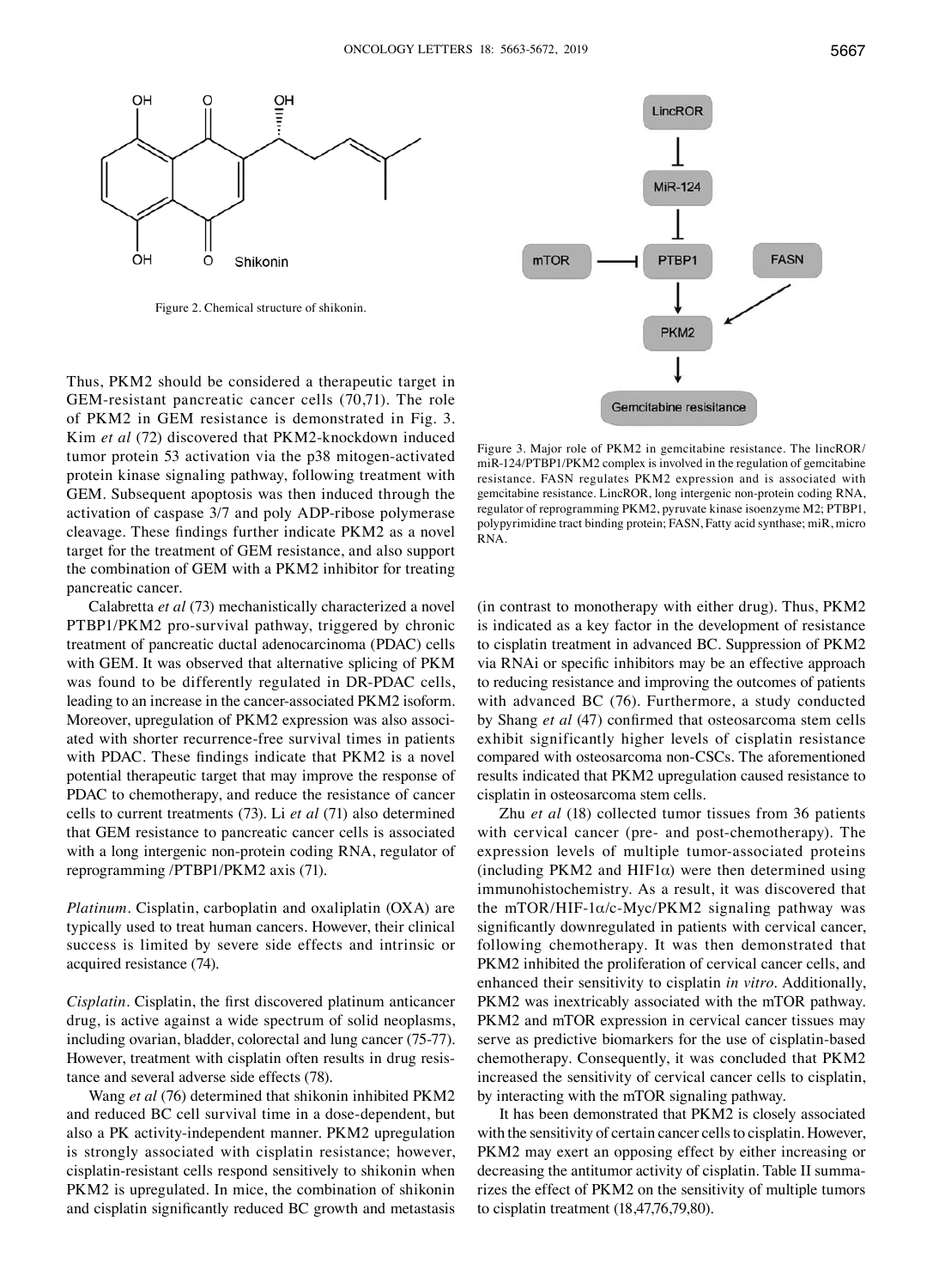

Figure 2. Chemical structure of shikonin.

Thus, PKM2 should be considered a therapeutic target in GEM-resistant pancreatic cancer cells (70,71). The role of PKM2 in GEM resistance is demonstrated in Fig. 3. Kim *et al* (72) discovered that PKM2-knockdown induced tumor protein 53 activation via the p38 mitogen-activated protein kinase signaling pathway, following treatment with GEM. Subsequent apoptosis was then induced through the activation of caspase 3/7 and poly ADP-ribose polymerase cleavage. These findings further indicate PKM2 as a novel target for the treatment of GEM resistance, and also support the combination of GEM with a PKM2 inhibitor for treating pancreatic cancer.

Calabretta *et al* (73) mechanistically characterized a novel PTBP1/PKM2 pro-survival pathway, triggered by chronic treatment of pancreatic ductal adenocarcinoma (PDAC) cells with GEM. It was observed that alternative splicing of PKM was found to be differently regulated in DR-PDAC cells, leading to an increase in the cancer-associated PKM2 isoform. Moreover, upregulation of PKM2 expression was also associated with shorter recurrence-free survival times in patients with PDAC. These findings indicate that PKM2 is a novel potential therapeutic target that may improve the response of PDAC to chemotherapy, and reduce the resistance of cancer cells to current treatments (73). Li *et al* (71) also determined that GEM resistance to pancreatic cancer cells is associated with a long intergenic non-protein coding RNA, regulator of reprogramming /PTBP1/PKM2 axis (71).

*Platinum.* Cisplatin, carboplatin and oxaliplatin (OXA) are typically used to treat human cancers. However, their clinical success is limited by severe side effects and intrinsic or acquired resistance (74).

*Cisplatin.* Cisplatin, the first discovered platinum anticancer drug, is active against a wide spectrum of solid neoplasms, including ovarian, bladder, colorectal and lung cancer (75-77). However, treatment with cisplatin often results in drug resistance and several adverse side effects (78).

Wang *et al* (76) determined that shikonin inhibited PKM2 and reduced BC cell survival time in a dose-dependent, but also a PK activity-independent manner. PKM2 upregulation is strongly associated with cisplatin resistance; however, cisplatin-resistant cells respond sensitively to shikonin when PKM2 is upregulated. In mice, the combination of shikonin and cisplatin significantly reduced BC growth and metastasis



Figure 3. Major role of PKM2 in gemcitabine resistance. The lincROR/ miR-124/PTBP1/PKM2 complex is involved in the regulation of gemcitabine resistance. FASN regulates PKM2 expression and is associated with gemcitabine resistance. LincROR, long intergenic non-protein coding RNA, regulator of reprogramming PKM2, pyruvate kinase isoenzyme M2; PTBP1, polypyrimidine tract binding protein; FASN, Fatty acid synthase; miR, micro RNA.

(in contrast to monotherapy with either drug). Thus, PKM2 is indicated as a key factor in the development of resistance to cisplatin treatment in advanced BC. Suppression of PKM2 via RNAi or specific inhibitors may be an effective approach to reducing resistance and improving the outcomes of patients with advanced BC (76). Furthermore, a study conducted by Shang *et al* (47) confirmed that osteosarcoma stem cells exhibit significantly higher levels of cisplatin resistance compared with osteosarcoma non-CSCs. The aforementioned results indicated that PKM2 upregulation caused resistance to cisplatin in osteosarcoma stem cells.

Zhu *et al* (18) collected tumor tissues from 36 patients with cervical cancer (pre- and post-chemotherapy). The expression levels of multiple tumor-associated proteins (including PKM2 and HIF1 $\alpha$ ) were then determined using immunohistochemistry. As a result, it was discovered that the mTOR/HIF-1 $\alpha$ /c-Myc/PKM2 signaling pathway was significantly downregulated in patients with cervical cancer, following chemotherapy. It was then demonstrated that PKM2 inhibited the proliferation of cervical cancer cells, and enhanced their sensitivity to cisplatin *in vitro*. Additionally, PKM2 was inextricably associated with the mTOR pathway. PKM2 and mTOR expression in cervical cancer tissues may serve as predictive biomarkers for the use of cisplatin-based chemotherapy. Consequently, it was concluded that PKM2 increased the sensitivity of cervical cancer cells to cisplatin, by interacting with the mTOR signaling pathway.

It has been demonstrated that PKM2 is closely associated with the sensitivity of certain cancer cells to cisplatin. However, PKM2 may exert an opposing effect by either increasing or decreasing the antitumor activity of cisplatin. Table II summarizes the effect of PKM2 on the sensitivity of multiple tumors to cisplatin treatment (18,47,76,79,80).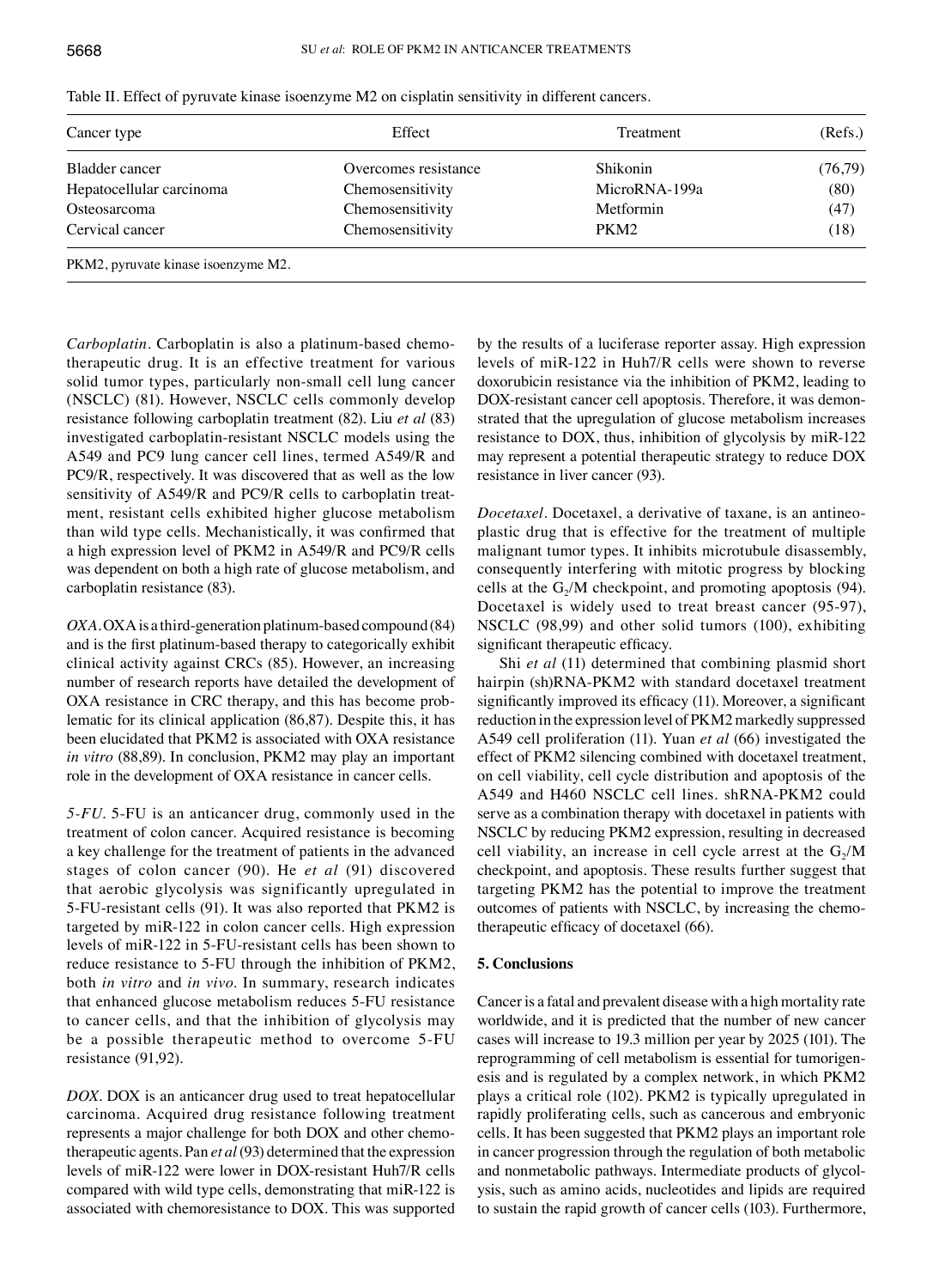| Cancer type                         | Effect               | Treatment        | (Refs.) |
|-------------------------------------|----------------------|------------------|---------|
| Bladder cancer                      | Overcomes resistance | Shikonin         | (76,79) |
| Hepatocellular carcinoma            | Chemosensitivity     | MicroRNA-199a    | (80)    |
| Osteosarcoma                        | Chemosensitivity     | Metformin        | (47)    |
| Cervical cancer                     | Chemosensitivity     | PKM <sub>2</sub> | (18)    |
| PKM2, pyruvate kinase isoenzyme M2. |                      |                  |         |

Table II. Effect of pyruvate kinase isoenzyme M2 on cisplatin sensitivity in different cancers.

*Carboplatin.* Carboplatin is also a platinum-based chemotherapeutic drug. It is an effective treatment for various solid tumor types, particularly non-small cell lung cancer (NSCLC) (81). However, NSCLC cells commonly develop resistance following carboplatin treatment (82). Liu *et al* (83) investigated carboplatin-resistant NSCLC models using the A549 and PC9 lung cancer cell lines, termed A549/R and PC9/R, respectively. It was discovered that as well as the low sensitivity of A549/R and PC9/R cells to carboplatin treatment, resistant cells exhibited higher glucose metabolism than wild type cells. Mechanistically, it was confirmed that a high expression level of PKM2 in A549/R and PC9/R cells was dependent on both a high rate of glucose metabolism, and carboplatin resistance (83).

*OXA.* OXA is a third-generation platinum-based compound (84) and is the first platinum‑based therapy to categorically exhibit clinical activity against CRCs (85). However, an increasing number of research reports have detailed the development of OXA resistance in CRC therapy, and this has become problematic for its clinical application (86,87). Despite this, it has been elucidated that PKM2 is associated with OXA resistance *in vitro* (88,89). In conclusion, PKM2 may play an important role in the development of OXA resistance in cancer cells.

*5‑FU.* 5-FU is an anticancer drug, commonly used in the treatment of colon cancer. Acquired resistance is becoming a key challenge for the treatment of patients in the advanced stages of colon cancer (90). He *et al* (91) discovered that aerobic glycolysis was significantly upregulated in 5-FU-resistant cells (91). It was also reported that PKM2 is targeted by miR-122 in colon cancer cells. High expression levels of miR-122 in 5-FU-resistant cells has been shown to reduce resistance to 5-FU through the inhibition of PKM2, both *in vitro* and *in vivo*. In summary, research indicates that enhanced glucose metabolism reduces 5-FU resistance to cancer cells, and that the inhibition of glycolysis may be a possible therapeutic method to overcome 5-FU resistance (91,92).

*DOX.* DOX is an anticancer drug used to treat hepatocellular carcinoma. Acquired drug resistance following treatment represents a major challenge for both DOX and other chemotherapeutic agents. Pan *et al*(93) determined that the expression levels of miR-122 were lower in DOX-resistant Huh7/R cells compared with wild type cells, demonstrating that miR-122 is associated with chemoresistance to DOX. This was supported by the results of a luciferase reporter assay. High expression levels of miR-122 in Huh7/R cells were shown to reverse doxorubicin resistance via the inhibition of PKM2, leading to DOX-resistant cancer cell apoptosis. Therefore, it was demonstrated that the upregulation of glucose metabolism increases resistance to DOX, thus, inhibition of glycolysis by miR-122 may represent a potential therapeutic strategy to reduce DOX resistance in liver cancer (93).

*Docetaxel.* Docetaxel, a derivative of taxane, is an antineoplastic drug that is effective for the treatment of multiple malignant tumor types. It inhibits microtubule disassembly, consequently interfering with mitotic progress by blocking cells at the  $G<sub>2</sub>/M$  checkpoint, and promoting apoptosis (94). Docetaxel is widely used to treat breast cancer (95-97), NSCLC (98,99) and other solid tumors (100), exhibiting significant therapeutic efficacy.

Shi *et al* (11) determined that combining plasmid short hairpin (sh)RNA-PKM2 with standard docetaxel treatment significantly improved its efficacy (11). Moreover, a significant reduction in the expression level of PKM2 markedly suppressed A549 cell proliferation (11). Yuan *et al* (66) investigated the effect of PKM2 silencing combined with docetaxel treatment, on cell viability, cell cycle distribution and apoptosis of the A549 and H460 NSCLC cell lines. shRNA-PKM2 could serve as a combination therapy with docetaxel in patients with NSCLC by reducing PKM2 expression, resulting in decreased cell viability, an increase in cell cycle arrest at the  $G_2/M$ checkpoint, and apoptosis. These results further suggest that targeting PKM2 has the potential to improve the treatment outcomes of patients with NSCLC, by increasing the chemotherapeutic efficacy of docetaxel (66).

# **5. Conclusions**

Cancer is a fatal and prevalent disease with a high mortality rate worldwide, and it is predicted that the number of new cancer cases will increase to 19.3 million per year by 2025 (101). The reprogramming of cell metabolism is essential for tumorigenesis and is regulated by a complex network, in which PKM2 plays a critical role (102). PKM2 is typically upregulated in rapidly proliferating cells, such as cancerous and embryonic cells. It has been suggested that PKM2 plays an important role in cancer progression through the regulation of both metabolic and nonmetabolic pathways. Intermediate products of glycolysis, such as amino acids, nucleotides and lipids are required to sustain the rapid growth of cancer cells (103). Furthermore,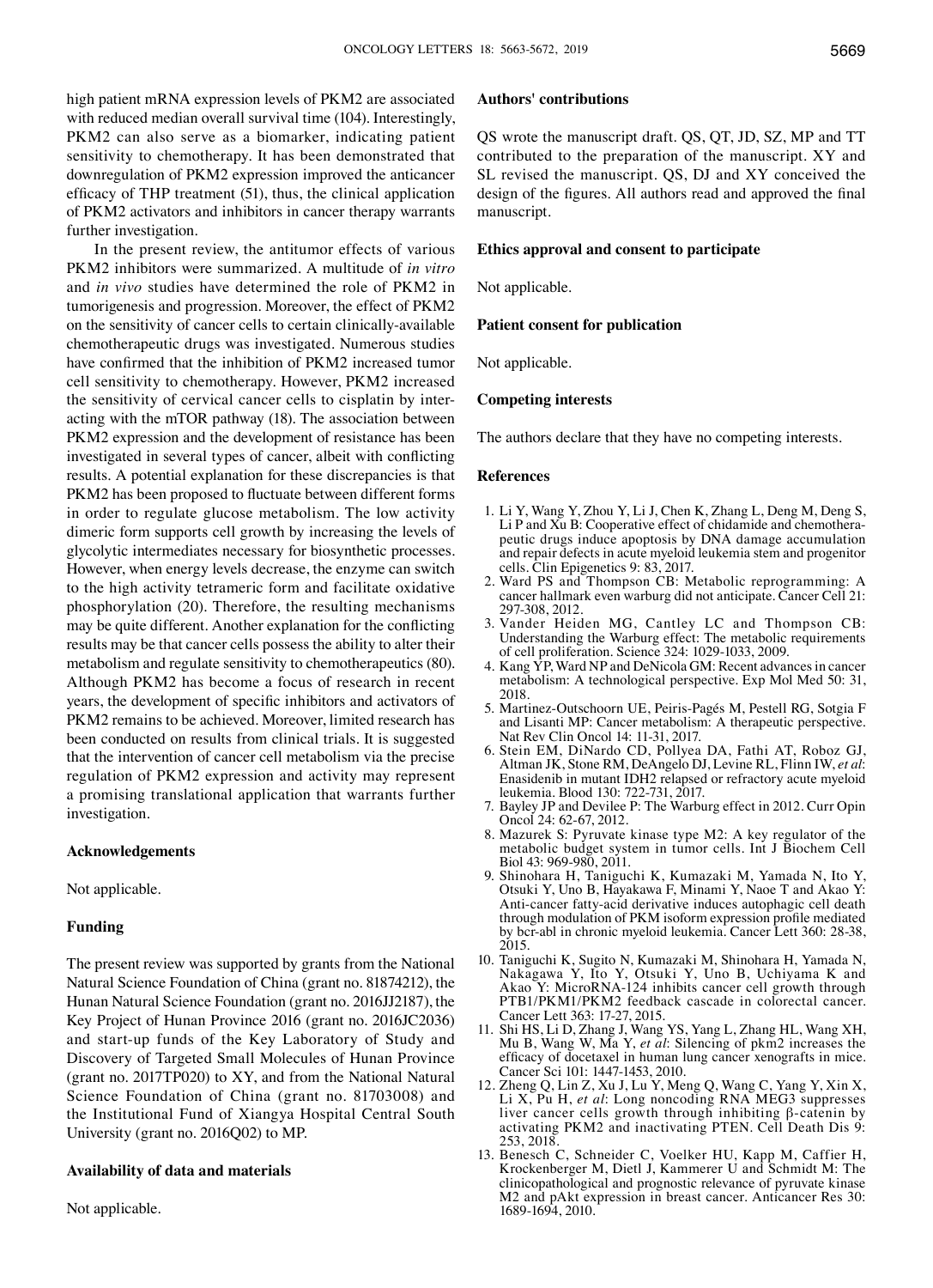high patient mRNA expression levels of PKM2 are associated with reduced median overall survival time (104). Interestingly, PKM2 can also serve as a biomarker, indicating patient sensitivity to chemotherapy. It has been demonstrated that downregulation of PKM2 expression improved the anticancer efficacy of THP treatment (51), thus, the clinical application of PKM2 activators and inhibitors in cancer therapy warrants further investigation.

 In the present review, the antitumor effects of various PKM2 inhibitors were summarized. A multitude of *in vitro* and *in vivo* studies have determined the role of PKM2 in tumorigenesis and progression. Moreover, the effect of PKM2 on the sensitivity of cancer cells to certain clinically-available chemotherapeutic drugs was investigated. Numerous studies have confirmed that the inhibition of PKM2 increased tumor cell sensitivity to chemotherapy. However, PKM2 increased the sensitivity of cervical cancer cells to cisplatin by interacting with the mTOR pathway (18). The association between PKM2 expression and the development of resistance has been investigated in several types of cancer, albeit with conflicting results. A potential explanation for these discrepancies is that PKM2 has been proposed to fluctuate between different forms in order to regulate glucose metabolism. The low activity dimeric form supports cell growth by increasing the levels of glycolytic intermediates necessary for biosynthetic processes. However, when energy levels decrease, the enzyme can switch to the high activity tetrameric form and facilitate oxidative phosphorylation (20). Therefore, the resulting mechanisms may be quite different. Another explanation for the conflicting results may be that cancer cells possess the ability to alter their metabolism and regulate sensitivity to chemotherapeutics (80). Although PKM2 has become a focus of research in recent years, the development of specific inhibitors and activators of PKM2 remains to be achieved. Moreover, limited research has been conducted on results from clinical trials. It is suggested that the intervention of cancer cell metabolism via the precise regulation of PKM2 expression and activity may represent a promising translational application that warrants further investigation.

# **Acknowledgements**

Not applicable.

# **Funding**

The present review was supported by grants from the National Natural Science Foundation of China (grant no. 81874212), the Hunan Natural Science Foundation (grant no. 2016JJ2187), the Key Project of Hunan Province 2016 (grant no. 2016JC2036) and start-up funds of the Key Laboratory of Study and Discovery of Targeted Small Molecules of Hunan Province (grant no. 2017TP020) to XY, and from the National Natural Science Foundation of China (grant no. 81703008) and the Institutional Fund of Xiangya Hospital Central South University (grant no. 2016Q02) to MP.

# **Availability of data and materials**

Not applicable.

#### **Authors' contributions**

QS wrote the manuscript draft. QS, QT, JD, SZ, MP and TT contributed to the preparation of the manuscript. XY and SL revised the manuscript. QS, DJ and XY conceived the design of the figures. All authors read and approved the final manuscript.

### **Ethics approval and consent to participate**

Not applicable.

#### **Patient consent for publication**

Not applicable.

# **Competing interests**

The authors declare that they have no competing interests.

#### **References**

- 1. Li Y, Wang Y, Zhou Y, Li J, Chen K, Zhang L, Deng M, Deng S, Li P and Xu B: Cooperative effect of chidamide and chemotherapeutic drugs induce apoptosis by DNA damage accumulation and repair defects in acute myeloid leukemia stem and progenitor cells. Clin Epigenetics 9: 83, 2017.
- 2. Ward PS and Thompson CB: Metabolic reprogramming: A cancer hallmark even warburg did not anticipate. Cancer Cell 21: 297-308, 2012.
- 3. Vander Heiden MG, Cantley LC and Thompson CB: Understanding the Warburg effect: The metabolic requirements of cell proliferation. Science 324: 1029-1033, 2009.
- 4. Kang YP, Ward NP and DeNicola GM: Recent advances in cancer metabolism: A technological perspective. Exp Mol Med 50: 31, 2018.
- 5. Martinez-Outschoorn UE, Peiris-Pagés M, Pestell RG, Sotgia F and Lisanti MP: Cancer metabolism: A therapeutic perspective. Nat Rev Clin Oncol 14: 11-31, 2017.
- 6. Stein EM, DiNardo CD, Pollyea DA, Fathi AT, Roboz GJ, Altman JK, Stone RM, DeAngelo DJ, Levine RL, Flinn IW, et al: Enasidenib in mutant IDH2 relapsed or refractory acute myeloid leukemia. Blood 130: 722-731, 2017.
- 7. Bayley JP and Devilee P: The Warburg effect in 2012. Curr Opin Oncol 24: 62-67, 2012.
- 8. Mazurek S: Pyruvate kinase type M2: A key regulator of the metabolic budget system in tumor cells. Int J Biochem Cell Biol 43: 969-980, 2011.
- 9. Shinohara H, Taniguchi K, Kumazaki M, Yamada N, Ito Y, Otsuki Y, Uno B, Hayakawa F, Minami Y, Naoe T and Akao Y: Anti-cancer fatty-acid derivative induces autophagic cell death through modulation of PKM isoform expression profile mediated by bcr-abl in chronic myeloid leukemia. Cancer Lett 360: 28-38, 2015.
- 10. Taniguchi K, Sugito N, Kumazaki M, Shinohara H, Yamada N, Nakagawa Y, Ito Y, Otsuki Y, Uno B, Uchiyama K and Akao Y: MicroRNA-124 inhibits cancer cell growth through PTB1/PKM1/PKM2 feedback cascade in colorectal cancer. Cancer Lett 363: 17-27, 2015.
- 11. Shi HS, Li D, Zhang J, Wang YS, Yang L, Zhang HL, Wang XH, Mu B, Wang W, Ma Y, *et al*: Silencing of pkm2 increases the efficacy of docetaxel in human lung cancer xenografts in mice. Cancer Sci 101: 1447-1453, 2010.
- 12. Zheng Q, Lin Z, Xu J, Lu Y, Meng Q, Wang C, Yang Y, Xin X, Li X, Pu H, *et al*: Long noncoding RNA MEG3 suppresses liver cancer cells growth through inhibiting β-catenin by activating PKM2 and inactivating PTEN. Cell Death Dis 9: 253, 2018.
- 13. Benesch C, Schneider C, Voelker HU, Kapp M, Caffier H, Krockenberger M, Dietl J, Kammerer U and Schmidt M: The clinicopathological and prognostic relevance of pyruvate kinase M2 and pAkt expression in breast cancer. Anticancer Res 30: 1689-1694, 2010.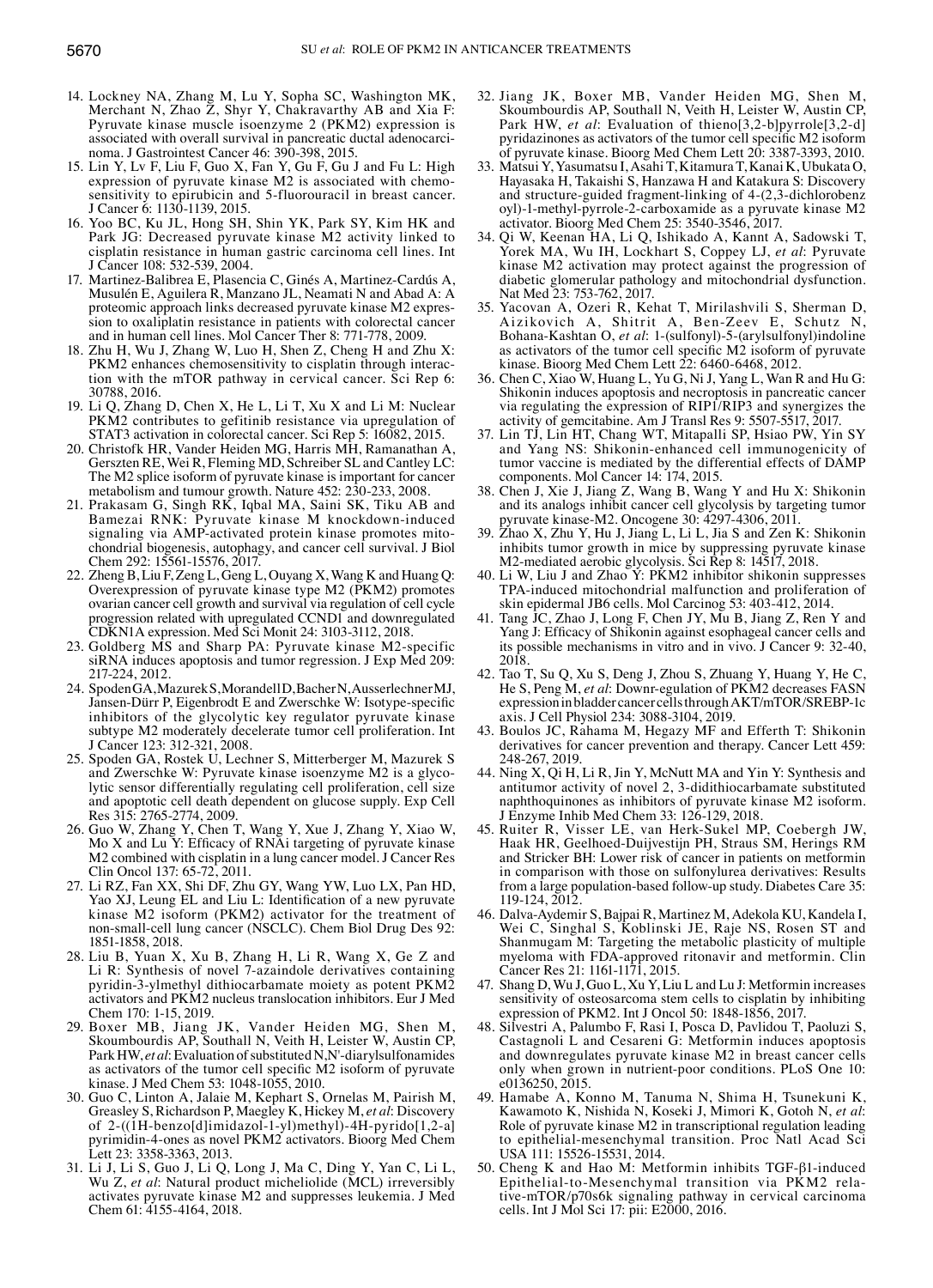- 14. Lockney NA, Zhang M, Lu Y, Sopha SC, Washington MK, Merchant N, Zhao Z, Shyr Y, Chakravarthy AB and Xia F: Pyruvate kinase muscle isoenzyme 2 (PKM2) expression is associated with overall survival in pancreatic ductal adenocarcinoma. J Gastrointest Cancer 46: 390-398, 2015.
- 15. Lin Y, Lv F, Liu F, Guo X, Fan Y, Gu F, Gu J and Fu L: High expression of pyruvate kinase M2 is associated with chemosensitivity to epirubicin and 5-fluorouracil in breast cancer. J Cancer 6: 1130-1139, 2015.
- 16. Yoo BC, Ku JL, Hong SH, Shin YK, Park SY, Kim HK and Park JG: Decreased pyruvate kinase M2 activity linked to cisplatin resistance in human gastric carcinoma cell lines. Int J Cancer 108: 532-539, 2004.
- 17. Martinez-Balibrea E, Plasencia C, Ginés A, Martinez-Cardús A, Musulén E, Aguilera R, Manzano JL, Neamati N and Abad A: A proteomic approach links decreased pyruvate kinase M2 expression to oxaliplatin resistance in patients with colorectal cancer and in human cell lines. Mol Cancer Ther 8: 771-778, 2009.
- 18. Zhu H, Wu J, Zhang W, Luo H, Shen Z, Cheng H and Zhu X: PKM2 enhances chemosensitivity to cisplatin through interaction with the mTOR pathway in cervical cancer. Sci Rep 6: 30788, 2016.
- 19. Li Q, Zhang D, Chen X, He L, Li T, Xu X and Li M: Nuclear PKM2 contributes to gefitinib resistance via upregulation of STAT3 activation in colorectal cancer. Sci Rep 5: 16082, 2015.
- 20. Christofk HR, Vander Heiden MG, Harris MH, Ramanathan A, Gerszten RE, Wei R, Fleming MD, Schreiber SL and Cantley LC: The M2 splice isoform of pyruvate kinase is important for cancer metabolism and tumour growth. Nature 452: 230-233, 2008.
- 21. Prakasam G, Singh RK, Iqbal MA, Saini SK, Tiku AB and Bamezai RNK: Pyruvate kinase M knockdown-induced signaling via AMP-activated protein kinase promotes mitochondrial biogenesis, autophagy, and cancer cell survival. J Biol Chem 292: 15561-15576, 2017.
- 22. Zheng B, Liu F, Zeng L, Geng L, Ouyang X, Wang K and Huang Q: Overexpression of pyruvate kinase type M2 (PKM2) promotes ovarian cancer cell growth and survival via regulation of cell cycle progression related with upregulated CCND1 and downregulated CDKN1A expression. Med Sci Monit 24: 3103-3112, 2018.
- 23. Goldberg MS and Sharp PA: Pyruvate kinase M2-specific siRNA induces apoptosis and tumor regression. J Exp Med 209: 217-224, 2012.
- 24. SpodenGA, MazurekS, MorandellD, BacherN, AusserlechnerMJ, Jansen-Dürr P, Eigenbrodt E and Zwerschke W: Isotype-specific inhibitors of the glycolytic key regulator pyruvate kinase subtype M2 moderately decelerate tumor cell proliferation. Int J Cancer 123: 312-321, 2008.
- 25. Spoden GA, Rostek U, Lechner S, Mitterberger M, Mazurek S and Zwerschke W: Pyruvate kinase isoenzyme M2 is a glycolytic sensor differentially regulating cell proliferation, cell size and apoptotic cell death dependent on glucose supply. Exp Cell Res 315: 2765-2774, 2009.
- 26. Guo W, Zhang Y, Chen T, Wang Y, Xue J, Zhang Y, Xiao W, Mo X and Lu Y: Efficacy of RNAi targeting of pyruvate kinase M2 combined with cisplatin in a lung cancer model. J Cancer Res Clin Oncol 137: 65-72, 2011.
- 27. Li RZ, Fan XX, Shi DF, Zhu GY, Wang YW, Luo LX, Pan HD, Yao XJ, Leung EL and Liu L: Identification of a new pyruvate kinase M2 isoform (PKM2) activator for the treatment of non-small-cell lung cancer (NSCLC). Chem Biol Drug Des 92: 1851-1858, 2018.
- 28. Liu B, Yuan X, Xu B, Zhang H, Li R, Wang X, Ge Z and Li R: Synthesis of novel 7-azaindole derivatives containing pyridin-3-ylmethyl dithiocarbamate moiety as potent PKM2 activators and PKM2 nucleus translocation inhibitors. Eur J Med Chem 170: 1-15, 2019.
- 29. Boxer MB, Jiang JK, Vander Heiden MG, Shen M, Skoumbourdis AP, Southall N, Veith H, Leister W, Austin CP, ParkHW, *et al*: Evaluation of substituted N,N'-diarylsulfonamides as activators of the tumor cell specific M2 isoform of pyruvate kinase. J Med Chem 53: 1048-1055, 2010.
- 30. Guo C, Linton A, Jalaie M, Kephart S, Ornelas M, Pairish M, Greasley S, Richardson P, Maegley K, Hickey M, *et al*: Discovery of 2-((1H-benzo[d]imidazol-1-yl)methyl)-4H-pyrido[1,2-a] pyrimidin-4-ones as novel PKM2 activators. Bioorg Med Chem Lett 23: 3358-3363, 2013.
- 31. Li J, Li S, Guo J, Li Q, Long J, Ma C, Ding Y, Yan C, Li L, Wu Z, *et al*: Natural product micheliolide (MCL) irreversibly activates pyruvate kinase M2 and suppresses leukemia. J Med Chem 61: 4155-4164, 2018.
- 32. Jiang JK, Boxer MB, Vander Heiden MG, Shen M, Skoumbourdis AP, Southall N, Veith H, Leister W, Austin CP, Park HW, *et al*: Evaluation of thieno[3,2-b]pyrrole[3,2-d] pyridazinones as activators of the tumor cell specific M2 isoform of pyruvate kinase. Bioorg Med Chem Lett 20: 3387-3393, 2010.
- 33. Matsui Y, Yasumatsu I, Asahi T, Kitamura T, Kanai K, Ubukata O, Hayasaka H, Takaishi S, Hanzawa H and Katakura S: Discovery and structure-guided fragment-linking of 4-(2,3-dichlorobenz oyl)-1-methyl-pyrrole-2-carboxamide as a pyruvate kinase M2 activator. Bioorg Med Chem 25: 3540-3546, 2017.
- 34. Qi W, Keenan HA, Li Q, Ishikado A, Kannt A, Sadowski T, Yorek MA, Wu IH, Lockhart S, Coppey LJ, *et al*: Pyruvate kinase M2 activation may protect against the progression of diabetic glomerular pathology and mitochondrial dysfunction. Nat Med 23: 753-762, 2017.
- 35. Yacovan A, Ozeri R, Kehat T, Mirilashvili S, Sherman D, Aizikovich A, Shitrit A, Ben-Zeev E, Schutz N, Bohana-Kashtan O, *et al*: 1-(sulfonyl)-5-(arylsulfonyl)indoline as activators of the tumor cell specific M2 isoform of pyruvate kinase. Bioorg Med Chem Lett 22: 6460-6468, 2012.
- 36. Chen C, Xiao W, Huang L, Yu G, Ni J, Yang L, Wan R and Hu G: Shikonin induces apoptosis and necroptosis in pancreatic cancer via regulating the expression of RIP1/RIP3 and synergizes the activity of gemcitabine. Am J Transl Res 9: 5507-5517, 2017.
- 37. Lin TJ, Lin HT, Chang WT, Mitapalli SP, Hsiao PW, Yin SY and Yang NS: Shikonin-enhanced cell immunogenicity of tumor vaccine is mediated by the differential effects of DAMP components. Mol Cancer 14: 174, 2015.
- 38. Chen J, Xie J, Jiang Z, Wang B, Wang Y and Hu X: Shikonin and its analogs inhibit cancer cell glycolysis by targeting tumor pyruvate kinase-M2. Oncogene 30: 4297-4306, 2011.
- 39. Zhao X, Zhu Y, Hu J, Jiang L, Li L, Jia S and Zen K: Shikonin inhibits tumor growth in mice by suppressing pyruvate kinase M2-mediated aerobic glycolysis. Sci Rep 8: 14517, 2018.
- 40. Li W, Liu J and Zhao  $\check{Y}$ : PKM2 inhibitor shikonin suppresses TPA-induced mitochondrial malfunction and proliferation of skin epidermal JB6 cells. Mol Carcinog 53: 403-412, 2014.
- 41. Tang JC, Zhao J, Long F, Chen JY, Mu B, Jiang Z, Ren Y and Yang J: Efficacy of Shikonin against esophageal cancer cells and its possible mechanisms in vitro and in vivo. J Cancer 9: 32-40, 2018.
- 42. Tao T, Su Q, Xu S, Deng J, Zhou S, Zhuang Y, Huang Y, He C, He S, Peng M, *et al*: Downr-egulation of PKM2 decreases FASN expression in bladder cancer cells through AKT/mTOR/SREBP-1c axis. J Cell Physiol 234: 3088-3104, 2019.
- 43. Boulos JC, Rahama M, Hegazy MF and Efferth T: Shikonin derivatives for cancer prevention and therapy. Cancer Lett 459: 248-267, 2019.
- 44. Ning X, Qi H, Li R, Jin Y, McNutt MA and Yin Y: Synthesis and antitumor activity of novel 2, 3-didithiocarbamate substituted naphthoquinones as inhibitors of pyruvate kinase M2 isoform. J Enzyme Inhib Med Chem 33: 126-129, 2018.
- 45. Ruiter R, Visser LE, van Herk-Sukel MP, Coebergh JW, Haak HR, Geelhoed-Duijvestijn PH, Straus SM, Herings RM and Stricker BH: Lower risk of cancer in patients on metformin in comparison with those on sulfonylurea derivatives: Results from a large population-based follow-up study. Diabetes Care 35: 119-124, 2012.
- 46. Dalva-Aydemir S, Bajpai R, Martinez M, Adekola KU, Kandela I, Wei C, Singhal S, Koblinski JE, Raje NS, Rosen ST and Shanmugam M: Targeting the metabolic plasticity of multiple myeloma with FDA-approved ritonavir and metformin. Clin Cancer Res 21: 1161-1171, 2015.
- 47. Shang D, Wu J, Guo L, Xu Y, Liu L and Lu J: Metformin increases sensitivity of osteosarcoma stem cells to cisplatin by inhibiting expression of PKM2. Int J Oncol 50: 1848-1856, 2017.
- 48. Silvestri A, Palumbo F, Rasi I, Posca D, Pavlidou T, Paoluzi S, Castagnoli L and Cesareni G: Metformin induces apoptosis and downregulates pyruvate kinase M2 in breast cancer cells only when grown in nutrient-poor conditions. PLoS One 10: e0136250, 2015.
- 49. Hamabe A, Konno M, Tanuma N, Shima H, Tsunekuni K, Kawamoto K, Nishida N, Koseki J, Mimori K, Gotoh N, *et al*: Role of pyruvate kinase M2 in transcriptional regulation leading to epithelial-mesenchymal transition. Proc Natl Acad Sci USA 111: 15526-15531, 2014.
- 50. Cheng K and Hao M: Metformin inhibits TGF-β1-induced Epithelial-to-Mesenchymal transition via PKM2 relative-mTOR/p70s6k signaling pathway in cervical carcinoma cells. Int J Mol Sci 17: pii: E2000, 2016.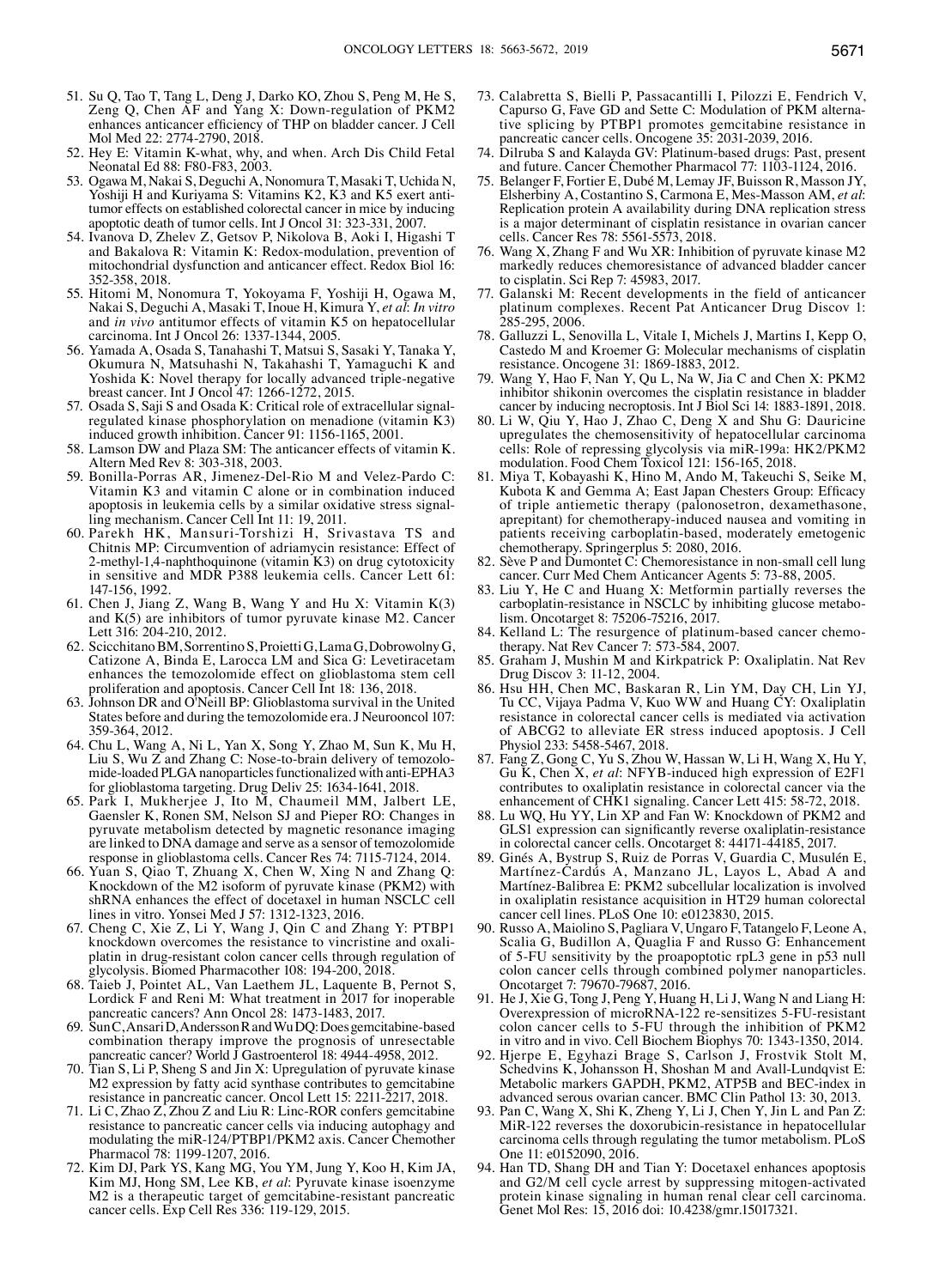- 51. Su Q, Tao T, Tang L, Deng J, Darko KO, Zhou S, Peng M, He S, Zeng Q, Chen AF and Yang X: Down-regulation of PKM2 enhances anticancer efficiency of THP on bladder cancer. J Cell Mol Med 22: 2774-2790, 2018.
- 52. Hey E: Vitamin K-what, why, and when. Arch Dis Child Fetal Neonatal Ed 88: F80-F83, 2003.
- 53. Ogawa M, Nakai S, Deguchi A, Nonomura T, Masaki T, Uchida N, Yoshiji H and Kuriyama S: Vitamins K2, K3 and K5 exert antitumor effects on established colorectal cancer in mice by inducing apoptotic death of tumor cells. Int J Oncol 31: 323-331, 2007.
- 54. Ivanova D, Zhelev Z, Getsov P, Nikolova B, Aoki I, Higashi T and Bakalova R: Vitamin K: Redox-modulation, prevention of mitochondrial dysfunction and anticancer effect. Redox Biol 16: 352-358, 2018.
- 55. Hitomi M, Nonomura T, Yokoyama F, Yoshiji H, Ogawa M, Nakai S, Deguchi A, Masaki T, Inoue H, Kimura Y, *et al*: *In vitro* and *in vivo* antitumor effects of vitamin K5 on hepatocellular carcinoma. Int J Oncol 26: 1337-1344, 2005.
- 56. Yamada A, Osada S, Tanahashi T, Matsui S, Sasaki Y, Tanaka Y, Okumura N, Matsuhashi N, Takahashi T, Yamaguchi K and Yoshida K: Novel therapy for locally advanced triple-negative breast cancer. Int J Oncol 47: 1266-1272, 2015.
- 57. Osada S, Saji S and Osada K: Critical role of extracellular signalregulated kinase phosphorylation on menadione (vitamin K3) induced growth inhibition. Cancer 91: 1156-1165, 2001.
- 58. Lamson DW and Plaza SM: The anticancer effects of vitamin K. Altern Med Rev 8: 303-318, 2003.
- 59. Bonilla-Porras AR, Jimenez-Del-Rio M and Velez-Pardo C: Vitamin K3 and vitamin C alone or in combination induced apoptosis in leukemia cells by a similar oxidative stress signalling mechanism. Cancer Cell Int 11: 19, 2011.
- 60. Parekh HK, Mansuri-Torshizi H, Srivastava TS and Chitnis MP: Circumvention of adriamycin resistance: Effect of 2-methyl-1,4-naphthoquinone (vitamin K3) on drug cytotoxicity in sensitive and MDR P388 leukemia cells. Cancer Lett 61: 147-156, 1992.
- 61. Chen J, Jiang Z, Wang B, Wang Y and Hu X: Vitamin K(3) and K(5) are inhibitors of tumor pyruvate kinase M2. Cancer Lett 316: 204-210, 2012.
- 62. ScicchitanoBM, Sorrentino S, ProiettiG, LamaG, DobrowolnyG, Catizone A, Binda E, Larocca LM and Sica G: Levetiracetam enhances the temozolomide effect on glioblastoma stem cell proliferation and apoptosis. Cancer Cell Int 18: 136, 2018.
- 63. Johnson DR and O'Neill BP: Glioblastoma survival in the United States before and during the temozolomide era. J Neurooncol 107: 359-364, 2012.
- 64. Chu L, Wang A, Ni L, Yan X, Song Y, Zhao M, Sun K, Mu H, Liu S, Wu Z and Zhang C: Nose-to-brain delivery of temozolomide-loaded PLGA nanoparticles functionalized with anti-EPHA3 for glioblastoma targeting. Drug Deliv 25: 1634-1641, 2018.
- 65. Park I, Mukherjee J, Ito M, Chaumeil MM, Jalbert LE, Gaensler K, Ronen SM, Nelson SJ and Pieper RO: Changes in pyruvate metabolism detected by magnetic resonance imaging are linked to DNA damage and serve as a sensor of temozolomide response in glioblastoma cells. Cancer Res 74: 7115-7124, 2014.
- 66. Yuan S, Qiao T, Zhuang X, Chen W, Xing N and Zhang Q: Knockdown of the M2 isoform of pyruvate kinase (PKM2) with shRNA enhances the effect of docetaxel in human NSCLC cell lines in vitro. Yonsei Med J 57: 1312-1323, 2016.
- 67. Cheng C, Xie Z, Li Y, Wang J, Qin C and Zhang Y: PTBP1 platin in drug-resistant colon cancer cells through regulation of glycolysis. Biomed Pharmacother 108: 194-200, 2018.
- 68. Taieb J, Pointet AL, Van Laethem JL, Laquente B, Pernot S, Lordick F and Reni M: What treatment in 2017 for inoperable pancreatic cancers? Ann Oncol 28: 1473-1483, 2017.
- 69. SunC, AnsariD, AnderssonR and WuDQ: Does gemcitabine-based combination therapy improve the prognosis of unresectable pancreatic cancer? World J Gastroenterol 18: 4944-4958, 2012.
- 70. Tian S, Li P, Sheng S and Jin X: Upregulation of pyruvate kinase M2 expression by fatty acid synthase contributes to gemcitabine resistance in pancreatic cancer. Oncol Lett 15: 2211-2217, 2018.
- 71. Li C, Zhao Z, Zhou Z and Liu R: Linc-ROR confers gemcitabine resistance to pancreatic cancer cells via inducing autophagy and modulating the miR-124/PTBP1/PKM2 axis. Cancer Chemother Pharmacol 78: 1199-1207, 2016.
- 72. Kim DJ, Park YS, Kang MG, You YM, Jung Y, Koo H, Kim JA, Kim MJ, Hong SM, Lee KB, *et al*: Pyruvate kinase isoenzyme M2 is a therapeutic target of gemcitabine-resistant pancreatic cancer cells. Exp Cell Res 336: 119-129, 2015.
- 73. Calabretta S, Bielli P, Passacantilli I, Pilozzi E, Fendrich V, Capurso G, Fave GD and Sette C: Modulation of PKM alternative splicing by PTBP1 promotes gemcitabine resistance in pancreatic cancer cells. Oncogene 35: 2031-2039, 2016.
- 74. Dilruba S and Kalayda GV: Platinum-based drugs: Past, present and future. Cancer Chemother Pharmacol 77: 1103-1124, 2016.
- 75. Belanger F, Fortier E, Dubé M, Lemay JF, Buisson R, Masson JY, Elsherbiny A, Costantino S, Carmona E, Mes-Masson AM, *et al*: Replication protein A availability during DNA replication stress is a major determinant of cisplatin resistance in ovarian cancer cells. Cancer Res 78: 5561-5573, 2018.
- 76. Wang X, Zhang F and Wu XR: Inhibition of pyruvate kinase M2 markedly reduces chemoresistance of advanced bladder cancer to cisplatin. Sci Rep 7: 45983, 2017.
- 77. Galanski M: Recent developments in the field of anticancer platinum complexes. Recent Pat Anticancer Drug Discov 1: 285-295, 2006.
- 78. Galluzzi L, Senovilla L, Vitale I, Michels J, Martins I, Kepp O, Castedo M and Kroemer G: Molecular mechanisms of cisplatin resistance. Oncogene 31: 1869-1883, 2012.
- 79. Wang Y, Hao F, Nan Y, Qu L, Na W, Jia C and Chen X: PKM2 inhibitor shikonin overcomes the cisplatin resistance in bladder cancer by inducing necroptosis. Int J Biol Sci 14: 1883-1891, 2018.
- 80. Li W, Qiu Y, Hao J, Zhao C, Deng X and Shu G: Dauricine upregulates the chemosensitivity of hepatocellular carcinoma cells: Role of repressing glycolysis via miR-199a: HK2/PKM2 modulation. Food Chem Toxicol 121: 156-165, 2018.
- 81. Miya T, Kobayashi K, Hino M, Ando M, Takeuchi S, Seike M, Kubota K and Gemma A; East Japan Chesters Group: Efficacy of triple antiemetic therapy (palonosetron, dexamethasone, aprepitant) for chemotherapy-induced nausea and vomiting in patients receiving carboplatin-based, moderately emetogenic chemotherapy. Springerplus 5: 2080, 2016.
- 82. Sève P and Dumontet C: Chemoresistance in non-small cell lung cancer. Curr Med Chem Anticancer Agents 5: 73-88, 2005.
- 83. Liu Y, He C and Huang X: Metformin partially reverses the carboplatin-resistance in NSCLC by inhibiting glucose metabolism. Oncotarget 8: 75206-75216, 2017.
- 84. Kelland L: The resurgence of platinum-based cancer chemotherapy. Nat Rev Cancer 7: 573-584, 2007.
- 85. Graham J, Mushin M and Kirkpatrick P: Oxaliplatin. Nat Rev Drug Discov 3: 11-12, 2004.
- 86. Hsu HH, Chen MC, Baskaran R, Lin YM, Day CH, Lin YJ, Tu CC, Vijaya Padma V, Kuo WW and Huang CY: Oxaliplatin resistance in colorectal cancer cells is mediated via activation of ABCG2 to alleviate ER stress induced apoptosis. J Cell Physiol 233: 5458-5467, 2018.
- 87. Fang Z, Gong C, Yu S, Zhou W, Hassan W, Li H, Wang X, Hu Y, Gu K, Chen X, *et al*: NFYB-induced high expression of E2F1 contributes to oxaliplatin resistance in colorectal cancer via the enhancement of CHK1 signaling. Cancer Lett 415: 58-72, 2018.
- 88. Lu WQ, Hu YY, Lin XP and Fan W: Knockdown of PKM2 and GLS1 expression can significantly reverse oxaliplatin-resistance in colorectal cancer cells. Oncotarget 8: 44171-44185, 2017.
- 89. Ginés A, Bystrup S, Ruiz de Porras V, Guardia C, Musulén E, Martínez-Cardús A, Manzano JL, Layos L, Abad A and Martínez-Balibrea E: PKM2 subcellular localization is involved in oxaliplatin resistance acquisition in HT29 human colorectal cancer cell lines. PLoS One 10: e0123830, 2015.
- 90. Russo A, Maiolino S, Pagliara V, Ungaro F, Tatangelo F, Leone A, Scalia G, Budillon A, Quaglia F and Russo G: Enhancement of 5-FU sensitivity by the proapoptotic rpL3 gene in p53 null colon cancer cells through combined polymer nanoparticles. Oncotarget 7: 79670-79687, 2016.
- 91. He J, Xie G, Tong J, Peng Y, Huang H, Li J, Wang N and Liang H: Overexpression of microRNA-122 re-sensitizes 5-FU-resistant colon cancer cells to 5-FU through the inhibition of PKM2 in vitro and in vivo. Cell Biochem Biophys 70: 1343-1350, 2014.
- 92. Hjerpe E, Egyhazi Brage S, Carlson J, Frostvik Stolt M, Schedvins K, Johansson  $\tilde{H}$ , Shoshan M and Avall-Lundqvist E: Metabolic markers GAPDH, PKM2, ATP5B and BEC-index in advanced serous ovarian cancer. BMC Clin Pathol 13: 30, 2013.
- 93. Pan C, Wang X, Shi K, Zheng Y, Li J, Chen Y, Jin L and Pan Z: MiR-122 reverses the doxorubicin-resistance in hepatocellular carcinoma cells through regulating the tumor metabolism. PLoS One 11: e0152090, 2016.
- 94. Han TD, Shang DH and Tian Y: Docetaxel enhances apoptosis and G2/M cell cycle arrest by suppressing mitogen-activated protein kinase signaling in human renal clear cell carcinoma. Genet Mol Res: 15, 2016 doi: 10.4238/gmr.15017321.